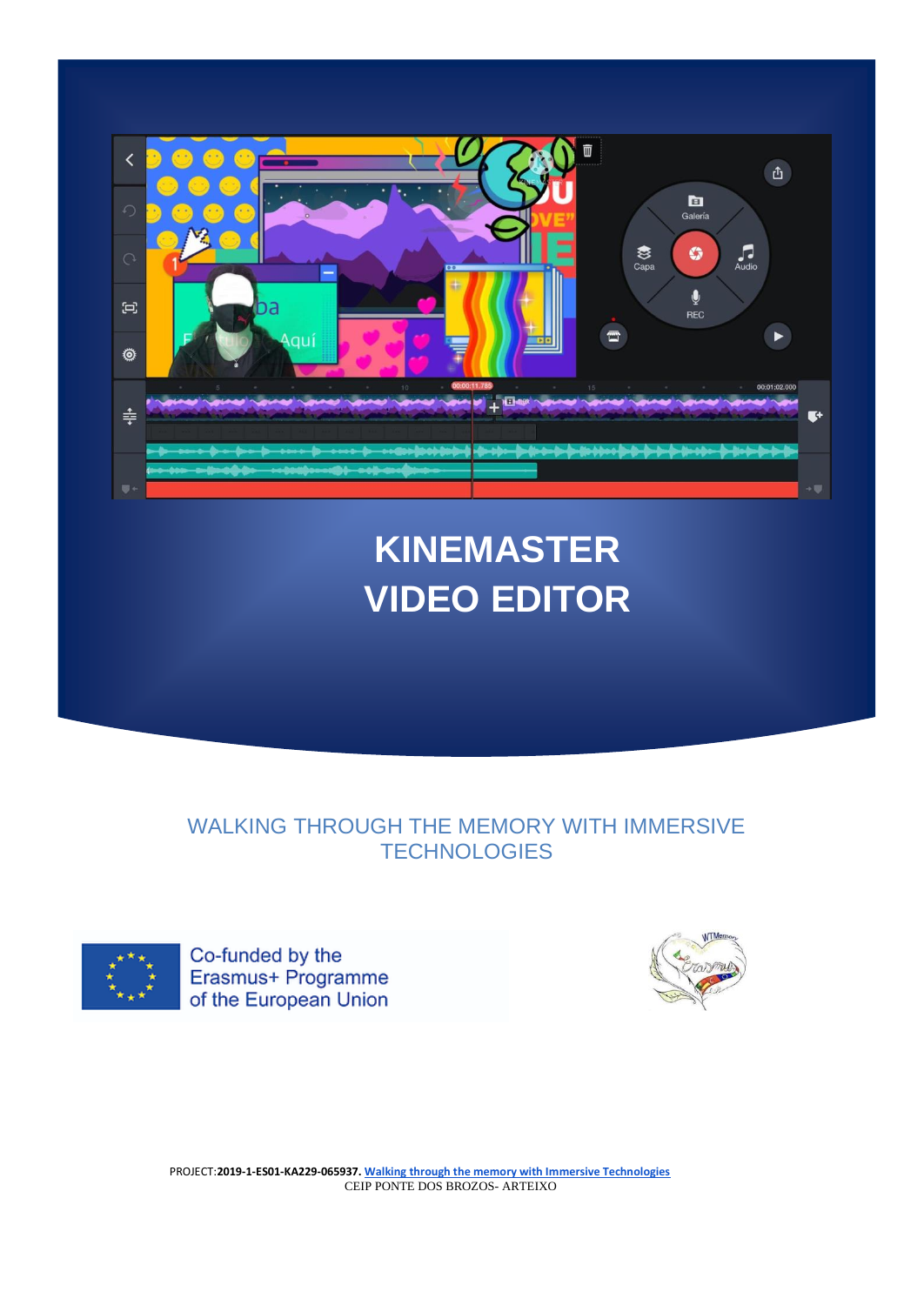

# **KINEMASTER VIDEO EDITOR**

WALKING THROUGH THE MEMORY WITH IMMERSIVE **TECHNOLOGIES** 



Co-funded by the Erasmus+ Programme of the European Union

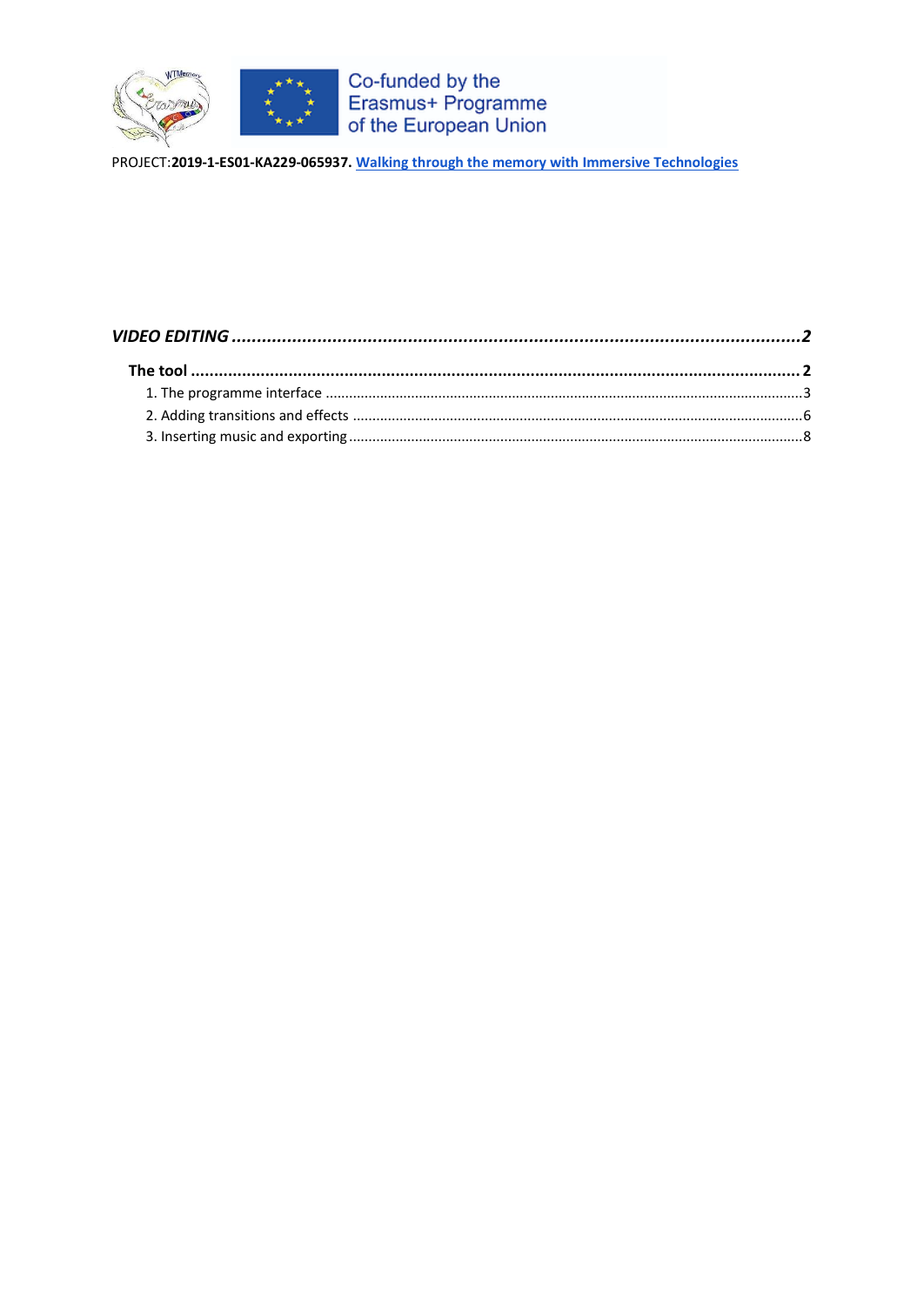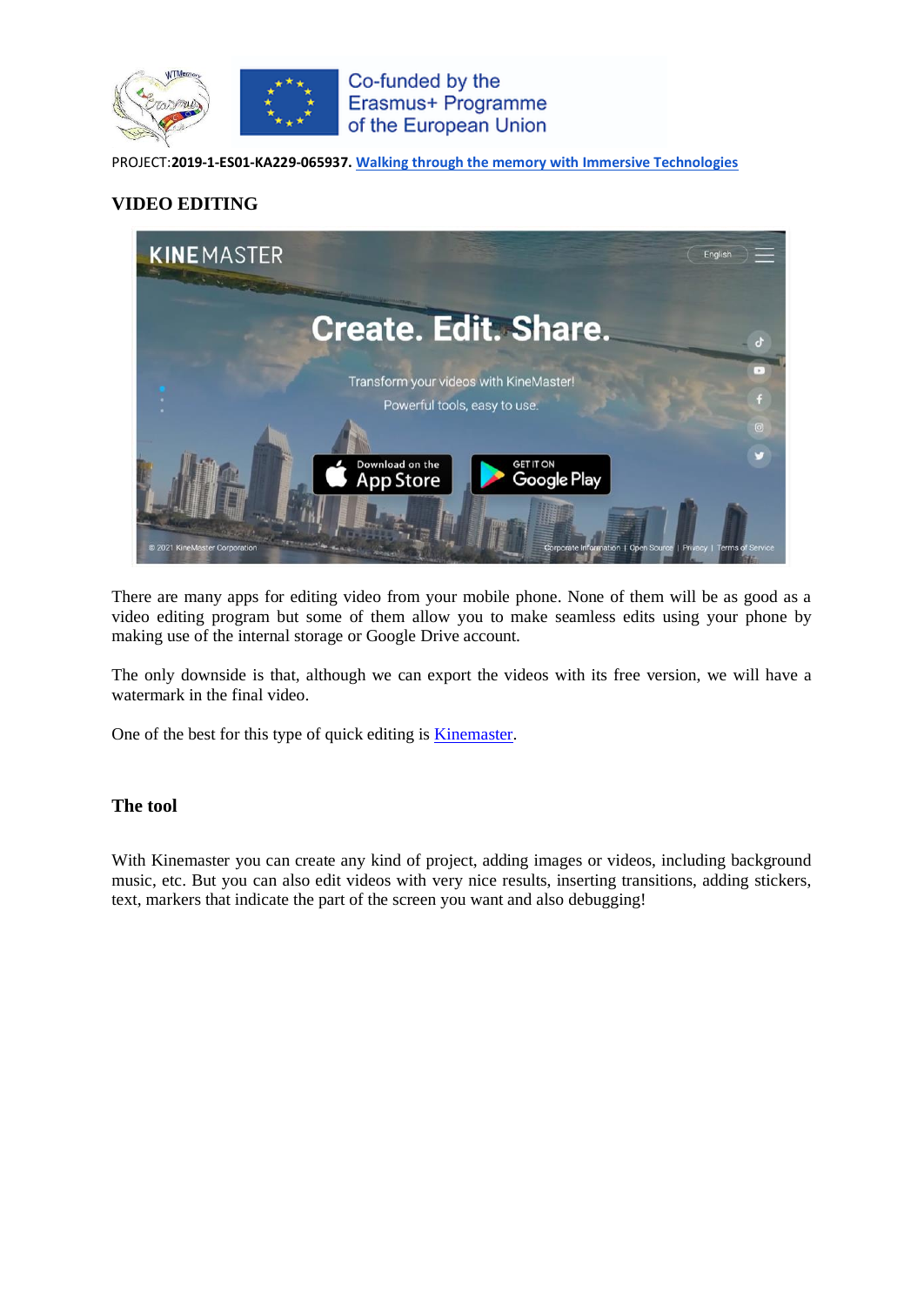

## <span id="page-2-0"></span>**VIDEO EDITING**



There are many apps for editing video from your mobile phone. None of them will be as good as a video editing program but some of them allow you to make seamless edits using your phone by making use of the internal storage or Google Drive account.

The only downside is that, although we can export the videos with its free version, we will have a watermark in the final video.

One of the best for this type of quick editing is [Kinemaster.](https://www.kinemaster.com/)

### <span id="page-2-1"></span>**The tool**

With Kinemaster you can create any kind of project, adding images or videos, including background music, etc. But you can also edit videos with very nice results, inserting transitions, adding stickers, text, markers that indicate the part of the screen you want and also debugging!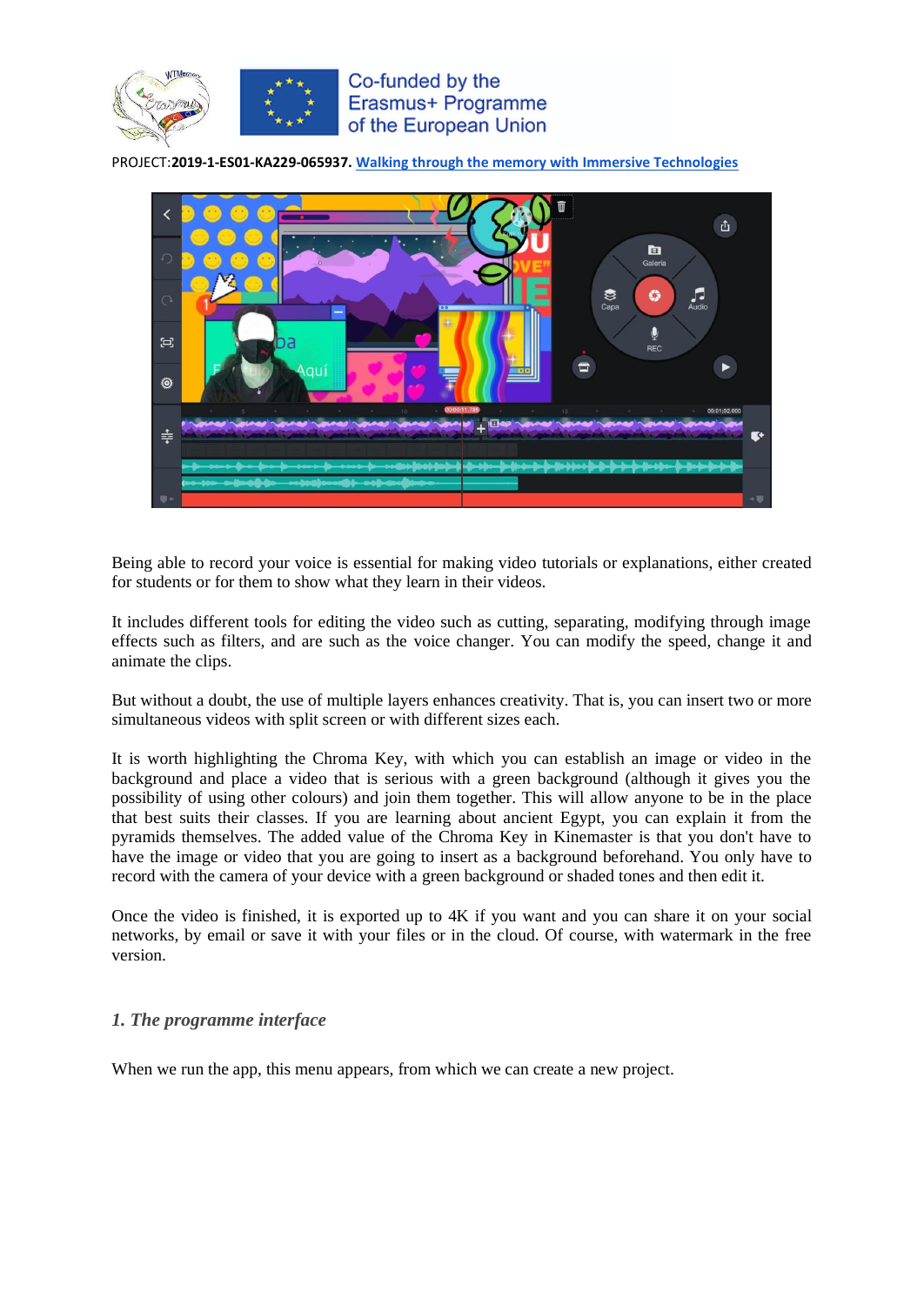



Being able to record your voice is essential for making video tutorials or explanations, either created for students or for them to show what they learn in their videos.

It includes different tools for editing the video such as cutting, separating, modifying through image effects such as filters, and are such as the voice changer. You can modify the speed, change it and animate the clips.

But without a doubt, the use of multiple layers enhances creativity. That is, you can insert two or more simultaneous videos with split screen or with different sizes each.

It is worth highlighting the Chroma Key, with which you can establish an image or video in the background and place a video that is serious with a green background (although it gives you the possibility of using other colours) and join them together. This will allow anyone to be in the place that best suits their classes. If you are learning about ancient Egypt, you can explain it from the pyramids themselves. The added value of the Chroma Key in Kinemaster is that you don't have to have the image or video that you are going to insert as a background beforehand. You only have to record with the camera of your device with a green background or shaded tones and then edit it.

Once the video is finished, it is exported up to 4K if you want and you can share it on your social networks, by email or save it with your files or in the cloud. Of course, with watermark in the free version.

#### <span id="page-3-0"></span>*1. The programme interface*

When we run the app, this menu appears, from which we can create a new project.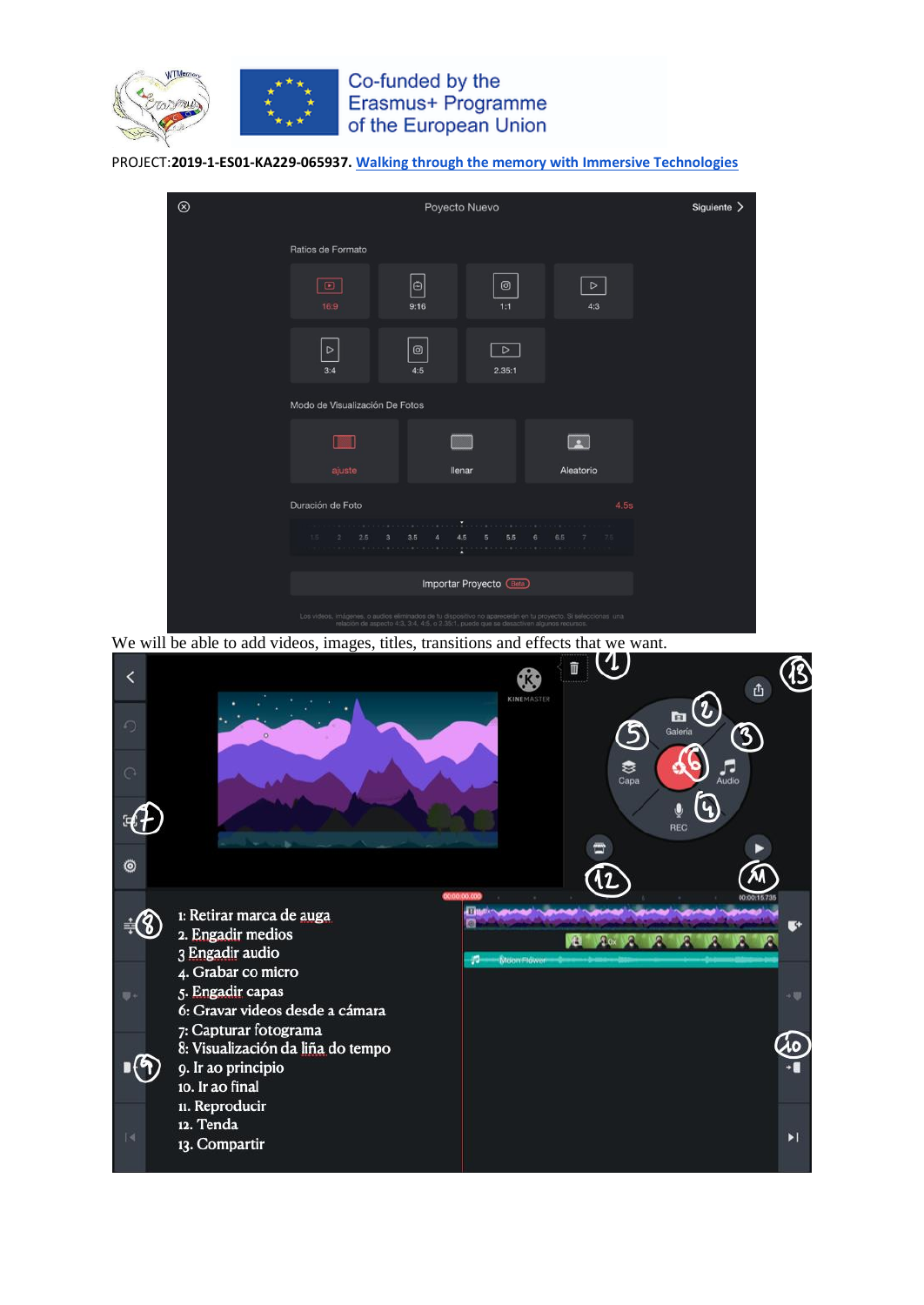



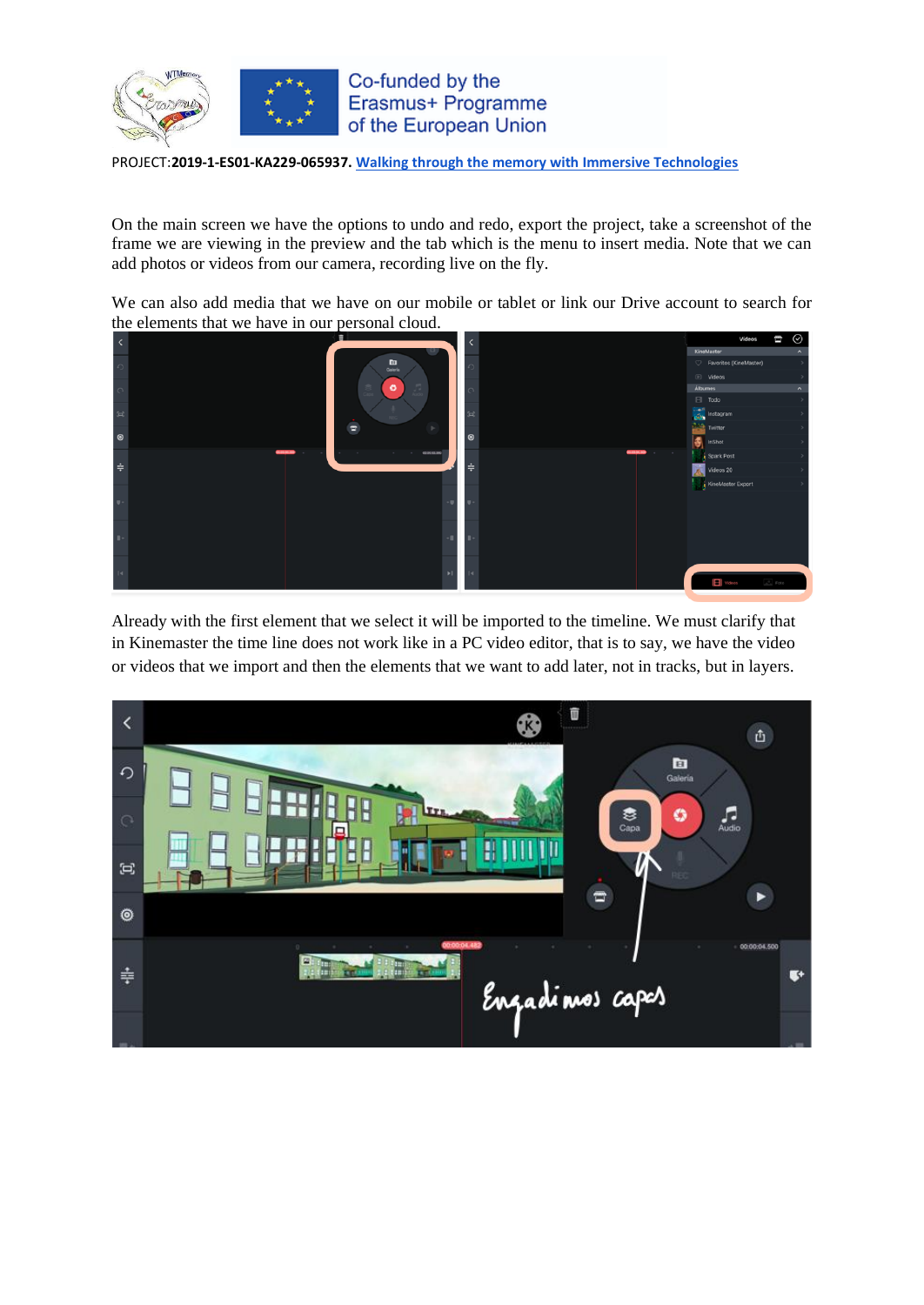

On the main screen we have the options to undo and redo, export the project, take a screenshot of the frame we are viewing in the preview and the tab which is the menu to insert media. Note that we can add photos or videos from our camera, recording live on the fly.

We can also add media that we have on our mobile or tablet or link our Drive account to search for the elements that we have in our personal cloud.



Already with the first element that we select it will be imported to the timeline. We must clarify that in Kinemaster the time line does not work like in a PC video editor, that is to say, we have the video or videos that we import and then the elements that we want to add later, not in tracks, but in layers.

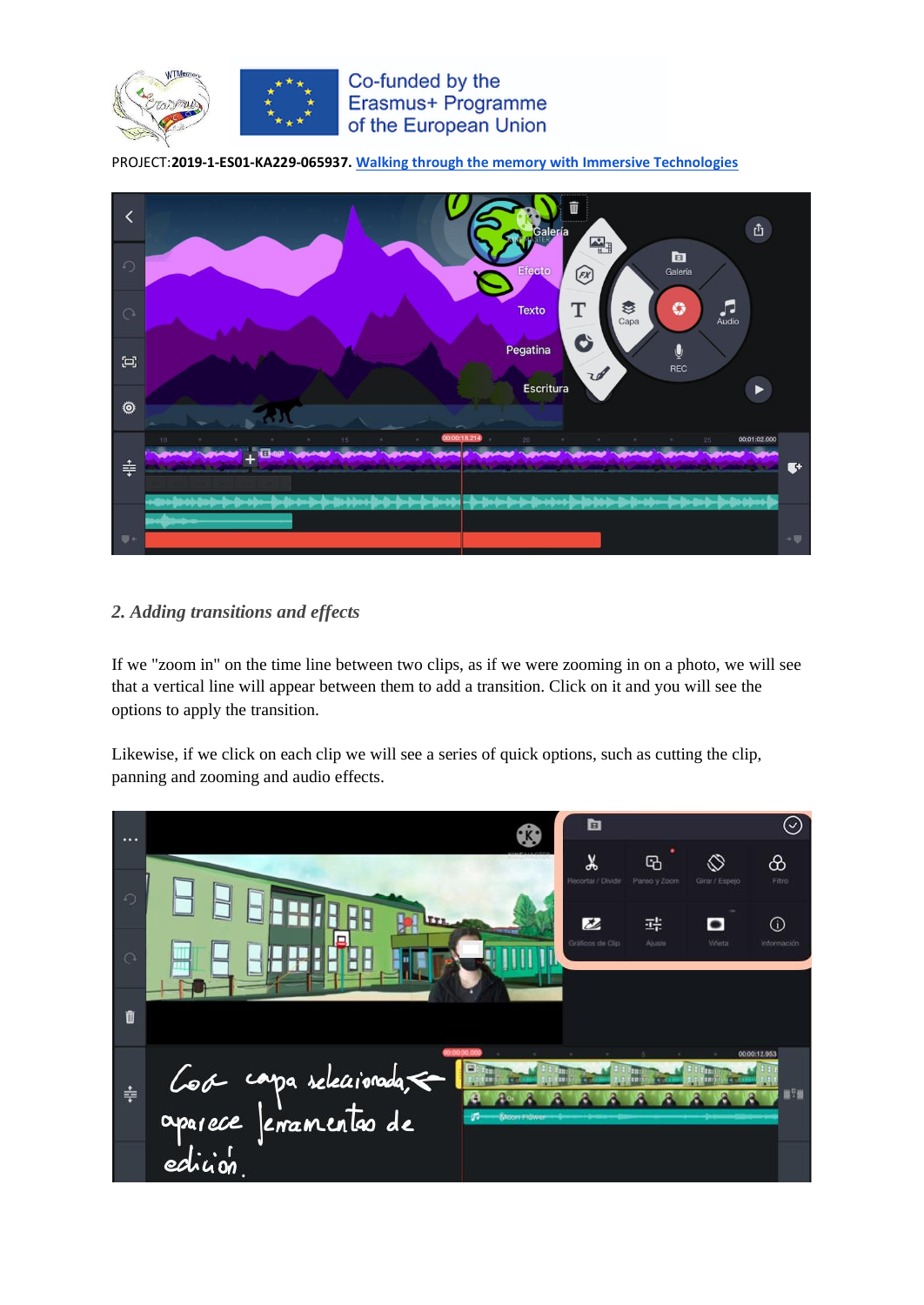



## <span id="page-6-0"></span>*2. Adding transitions and effects*

If we "zoom in" on the time line between two clips, as if we were zooming in on a photo, we will see that a vertical line will appear between them to add a transition. Click on it and you will see the options to apply the transition.

Likewise, if we click on each clip we will see a series of quick options, such as cutting the clip, panning and zooming and audio effects.

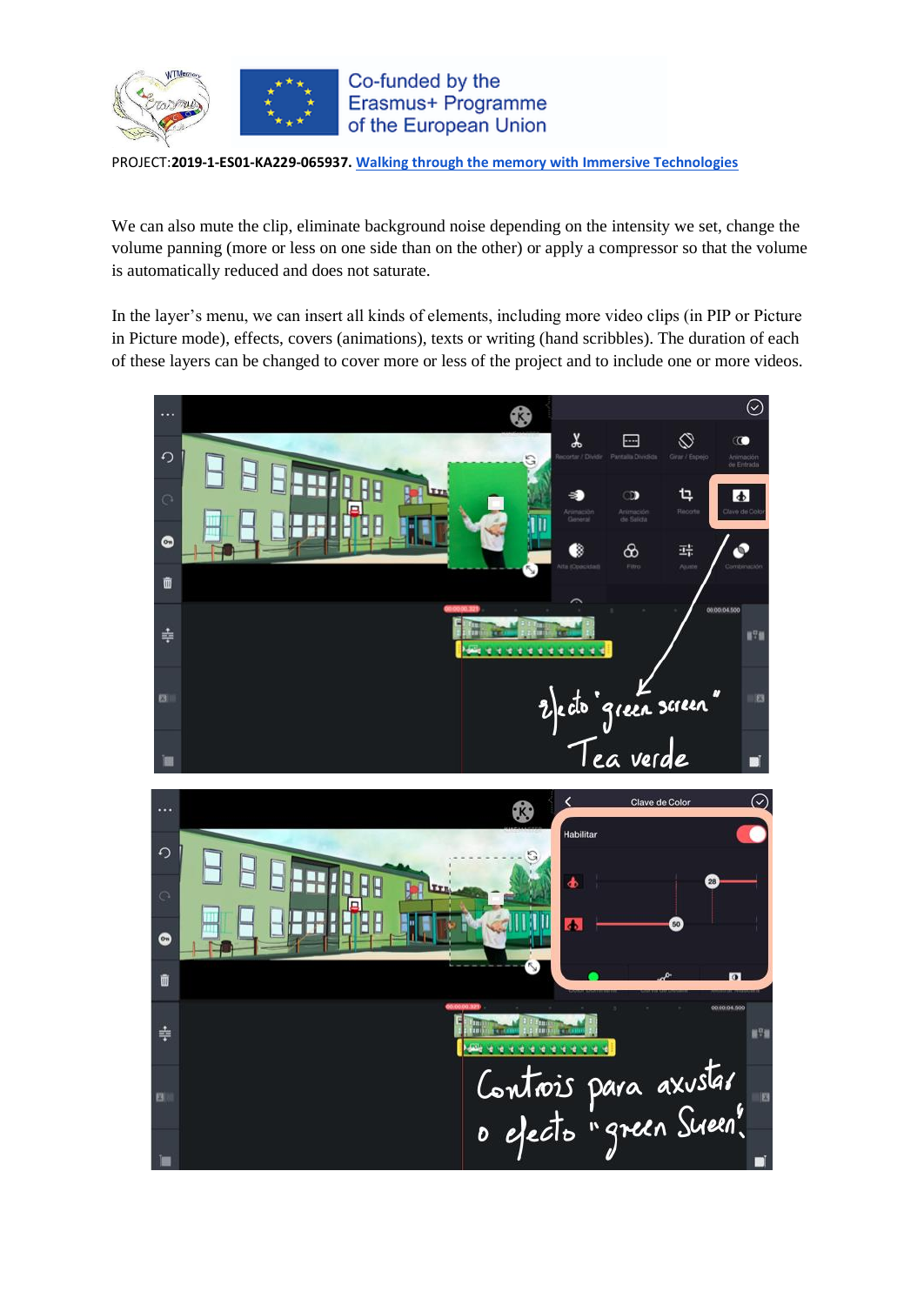

We can also mute the clip, eliminate background noise depending on the intensity we set, change the volume panning (more or less on one side than on the other) or apply a compressor so that the volume is automatically reduced and does not saturate.

In the layer's menu, we can insert all kinds of elements, including more video clips (in PIP or Picture in Picture mode), effects, covers (animations), texts or writing (hand scribbles). The duration of each of these layers can be changed to cover more or less of the project and to include one or more videos.

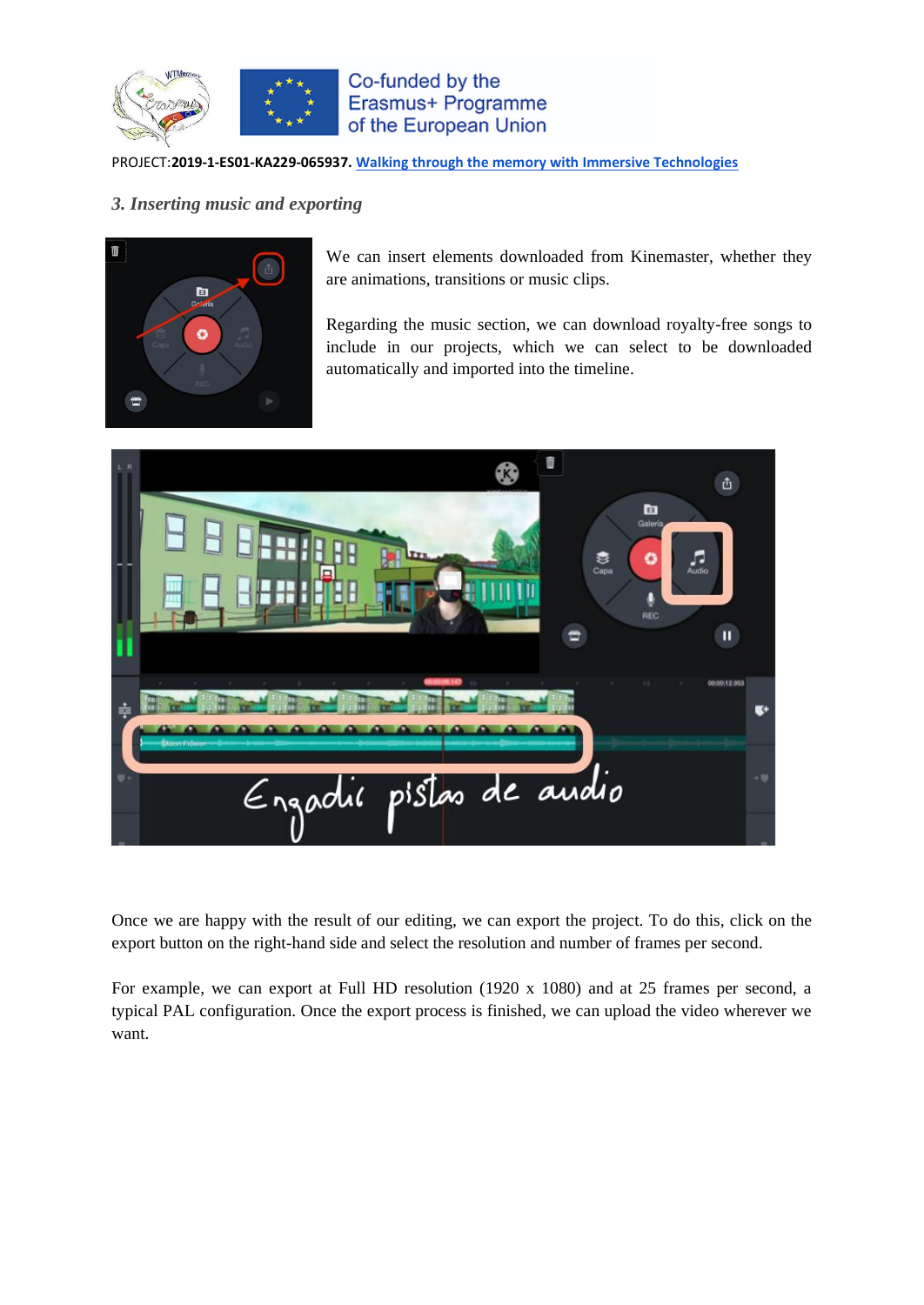

## <span id="page-8-0"></span>*3. Inserting music and exporting*



We can insert elements downloaded from Kinemaster, whether they are animations, transitions or music clips.

Regarding the music section, we can download royalty-free songs to include in our projects, which we can select to be downloaded automatically and imported into the timeline.



Once we are happy with the result of our editing, we can export the project. To do this, click on the export button on the right-hand side and select the resolution and number of frames per second.

For example, we can export at Full HD resolution (1920 x 1080) and at 25 frames per second, a typical PAL configuration. Once the export process is finished, we can upload the video wherever we want.